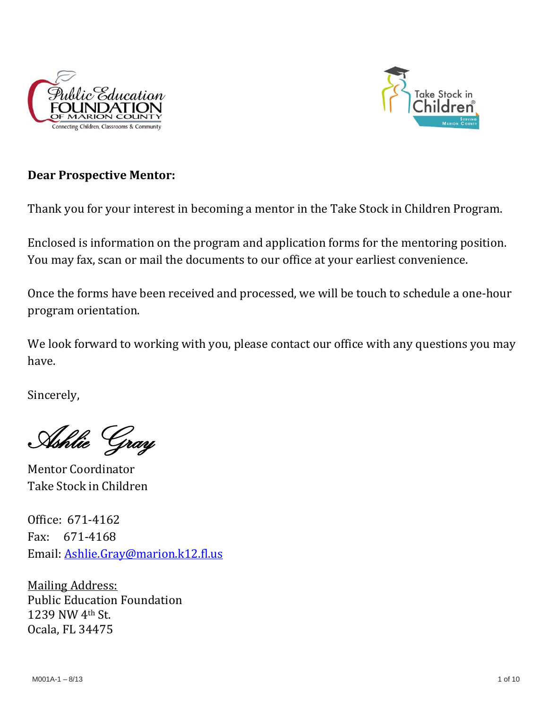



# **Dear Prospective Mentor:**

Thank you for your interest in becoming a mentor in the Take Stock in Children Program.

Enclosed is information on the program and application forms for the mentoring position. You may fax, scan or mail the documents to our office at your earliest convenience.

Once the forms have been received and processed, we will be touch to schedule a one-hour program orientation.

We look forward to working with you, please contact our office with any questions you may have.

Sincerely,

Ashlie Gray

Mentor Coordinator Take Stock in Children

Office: 671-4162 Fax: 671-4168 Email: [Ashlie.Gray@marion.k12.fl.us](mailto:Ashlie.Gray@marion.k12.fl.us)

Mailing Address: Public Education Foundation 1239 NW 4th St. Ocala, FL 34475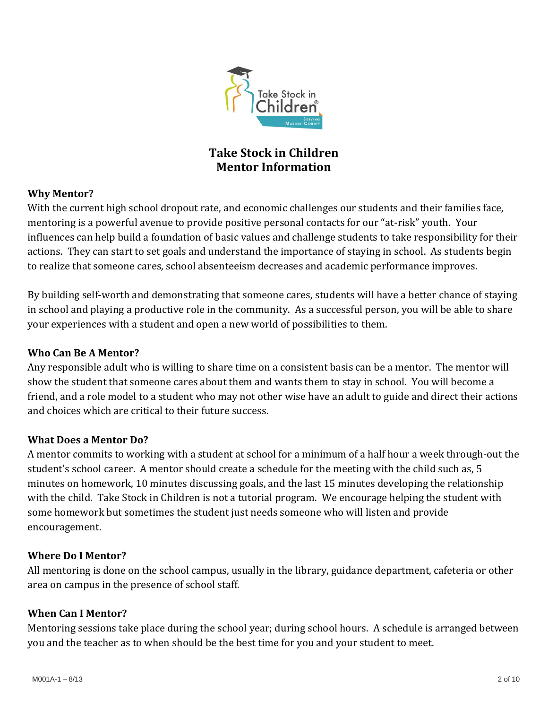

# **Take Stock in Children Mentor Information**

# **Why Mentor?**

With the current high school dropout rate, and economic challenges our students and their families face, mentoring is a powerful avenue to provide positive personal contacts for our "at-risk" youth. Your influences can help build a foundation of basic values and challenge students to take responsibility for their actions. They can start to set goals and understand the importance of staying in school. As students begin to realize that someone cares, school absenteeism decreases and academic performance improves.

By building self-worth and demonstrating that someone cares, students will have a better chance of staying in school and playing a productive role in the community. As a successful person, you will be able to share your experiences with a student and open a new world of possibilities to them.

## **Who Can Be A Mentor?**

Any responsible adult who is willing to share time on a consistent basis can be a mentor. The mentor will show the student that someone cares about them and wants them to stay in school. You will become a friend, and a role model to a student who may not other wise have an adult to guide and direct their actions and choices which are critical to their future success.

### **What Does a Mentor Do?**

A mentor commits to working with a student at school for a minimum of a half hour a week through-out the student's school career. A mentor should create a schedule for the meeting with the child such as, 5 minutes on homework, 10 minutes discussing goals, and the last 15 minutes developing the relationship with the child. Take Stock in Children is not a tutorial program. We encourage helping the student with some homework but sometimes the student just needs someone who will listen and provide encouragement.

### **Where Do I Mentor?**

All mentoring is done on the school campus, usually in the library, guidance department, cafeteria or other area on campus in the presence of school staff.

### **When Can I Mentor?**

Mentoring sessions take place during the school year; during school hours. A schedule is arranged between you and the teacher as to when should be the best time for you and your student to meet.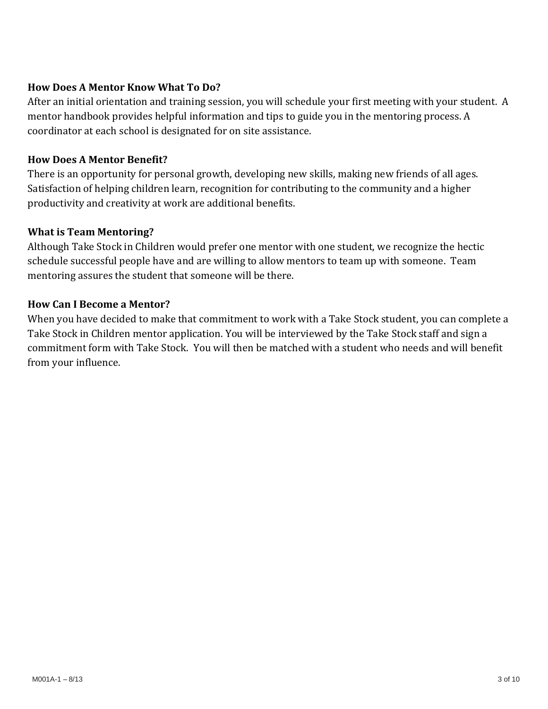# **How Does A Mentor Know What To Do?**

After an initial orientation and training session, you will schedule your first meeting with your student. A mentor handbook provides helpful information and tips to guide you in the mentoring process. A coordinator at each school is designated for on site assistance.

## **How Does A Mentor Benefit?**

There is an opportunity for personal growth, developing new skills, making new friends of all ages. Satisfaction of helping children learn, recognition for contributing to the community and a higher productivity and creativity at work are additional benefits.

## **What is Team Mentoring?**

Although Take Stock in Children would prefer one mentor with one student, we recognize the hectic schedule successful people have and are willing to allow mentors to team up with someone. Team mentoring assures the student that someone will be there.

### **How Can I Become a Mentor?**

When you have decided to make that commitment to work with a Take Stock student, you can complete a Take Stock in Children mentor application. You will be interviewed by the Take Stock staff and sign a commitment form with Take Stock. You will then be matched with a student who needs and will benefit from your influence.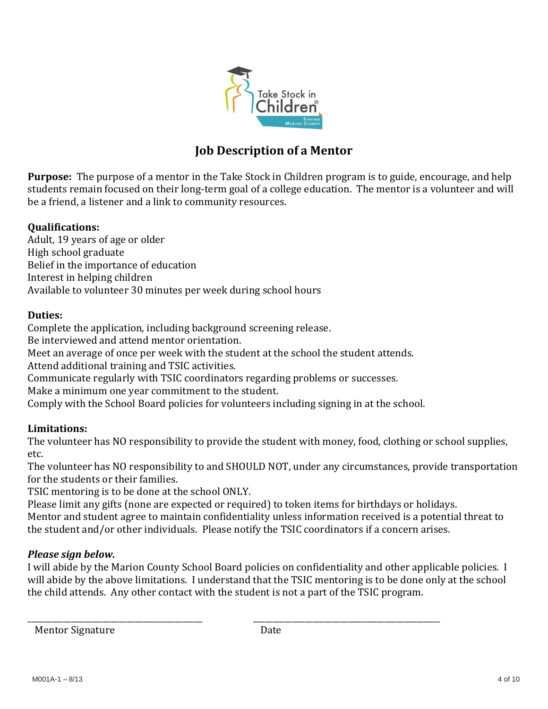

# **Job Description of a Mentor**

**Purpose:** The purpose of a mentor in the Take Stock in Children program is to guide, encourage, and help students remain focused on their long-term goal of a college education. The mentor is a volunteer and will be a friend, a listener and a link to community resources.

## **Qualifications:**

Adult, 19 years of age or older High school graduate Belief in the importance of education Interest in helping children Available to volunteer 30 minutes per week during school hours

### **Duties:**

Complete the application, including background screening release.

Be interviewed and attend mentor orientation.

Meet an average of once per week with the student at the school the student attends.

Attend additional training and TSIC activities.

Communicate regularly with TSIC coordinators regarding problems or successes.

Make a minimum one year commitment to the student.

Comply with the School Board policies for volunteers including signing in at the school.

# **Limitations:**

The volunteer has NO responsibility to provide the student with money, food, clothing or school supplies, etc.

The volunteer has NO responsibility to and SHOULD NOT, under any circumstances, provide transportation for the students or their families.

TSIC mentoring is to be done at the school ONLY.

Please limit any gifts (none are expected or required) to token items for birthdays or holidays. Mentor and student agree to maintain confidentiality unless information received is a potential threat to the student and/or other individuals. Please notify the TSIC coordinators if a concern arises.

### *Please sign below.*

I will abide by the Marion County School Board policies on confidentiality and other applicable policies. I will abide by the above limitations. I understand that the TSIC mentoring is to be done only at the school the child attends. Any other contact with the student is not a part of the TSIC program.

Mentor Signature Date

\_\_\_\_\_\_\_\_\_\_\_\_\_\_\_\_\_\_\_\_\_\_\_\_\_\_\_\_\_\_\_\_\_\_\_\_\_\_\_\_\_\_\_\_ \_\_\_\_\_\_\_\_\_\_\_\_\_\_\_\_\_\_\_\_\_\_\_\_\_\_\_\_\_\_\_\_\_\_\_\_\_\_\_\_\_\_\_\_\_\_\_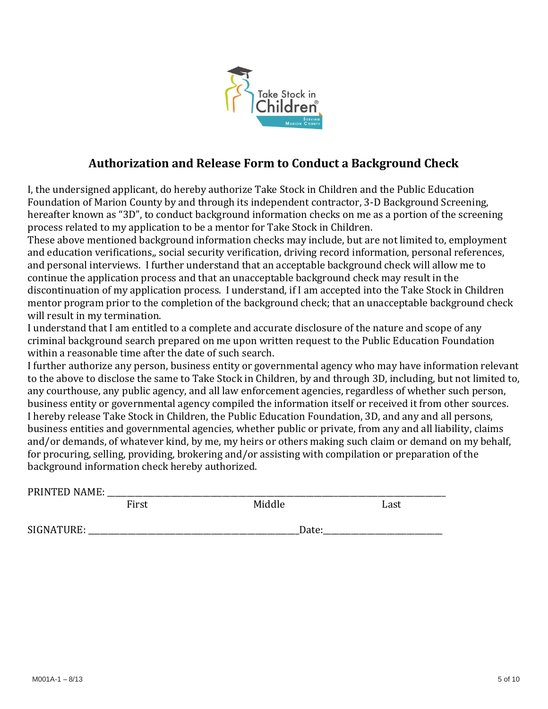

# **Authorization and Release Form to Conduct a Background Check**

I, the undersigned applicant, do hereby authorize Take Stock in Children and the Public Education Foundation of Marion County by and through its independent contractor, 3-D Background Screening, hereafter known as "3D", to conduct background information checks on me as a portion of the screening process related to my application to be a mentor for Take Stock in Children.

These above mentioned background information checks may include, but are not limited to, employment and education verifications,, social security verification, driving record information, personal references, and personal interviews. I further understand that an acceptable background check will allow me to continue the application process and that an unacceptable background check may result in the discontinuation of my application process. I understand, if I am accepted into the Take Stock in Children mentor program prior to the completion of the background check; that an unacceptable background check will result in my termination.

I understand that I am entitled to a complete and accurate disclosure of the nature and scope of any criminal background search prepared on me upon written request to the Public Education Foundation within a reasonable time after the date of such search.

I further authorize any person, business entity or governmental agency who may have information relevant to the above to disclose the same to Take Stock in Children, by and through 3D, including, but not limited to, any courthouse, any public agency, and all law enforcement agencies, regardless of whether such person, business entity or governmental agency compiled the information itself or received it from other sources. I hereby release Take Stock in Children, the Public Education Foundation, 3D, and any and all persons, business entities and governmental agencies, whether public or private, from any and all liability, claims and/or demands, of whatever kind, by me, my heirs or others making such claim or demand on my behalf, for procuring, selling, providing, brokering and/or assisting with compilation or preparation of the background information check hereby authorized.

| PRINTED NAME: |       |        |      |
|---------------|-------|--------|------|
|               | First | Middle | Last |
| SIGNATURE:    |       | Date:  |      |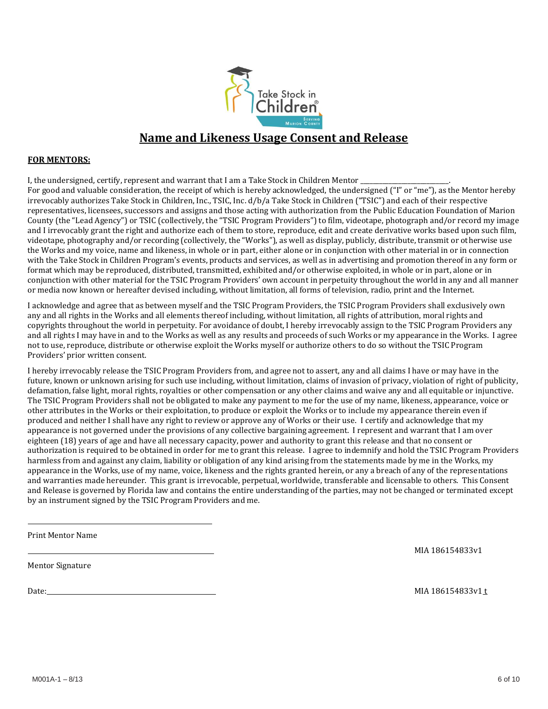

# **Name and Likeness Usage Consent and Release**

#### **FOR MENTORS:**

I, the undersigned, certify, represent and warrant that I am a Take Stock in Children Mentor \_\_\_\_\_\_\_\_\_\_\_\_\_\_\_\_\_

For good and valuable consideration, the receipt of which is hereby acknowledged, the undersigned ("I" or "me"), as the Mentor hereby irrevocably authorizes Take Stock in Children, Inc., TSIC, Inc. d/b/a Take Stock in Children ("TSIC") and each of their respective representatives, licensees, successors and assigns and those acting with authorization from the Public Education Foundation of Marion County (the "Lead Agency") or TSIC (collectively, the "TSIC Program Providers") to film, videotape, photograph and/or record my image and I irrevocably grant the right and authorize each of them to store, reproduce, edit and create derivative works based upon such film, videotape, photography and/or recording (collectively, the "Works"), as well as display, publicly, distribute, transmit or otherwise use the Works and my voice, name and likeness, in whole or in part, either alone or in conjunction with other material in or in connection with the Take Stock in Children Program's events, products and services, as well as in advertising and promotion thereof in any form or format which may be reproduced, distributed, transmitted, exhibited and/or otherwise exploited, in whole or in part, alone or in conjunction with other material for the TSIC Program Providers' own account in perpetuity throughout the world in any and all manner or media now known or hereafter devised including, without limitation, all forms of television, radio, print and the Internet.

I acknowledge and agree that as between myself and the TSIC Program Providers, the TSIC Program Providers shall exclusively own any and all rights in the Works and all elements thereof including, without limitation, all rights of attribution, moral rights and copyrights throughout the world in perpetuity. For avoidance of doubt, I hereby irrevocably assign to the TSIC Program Providers any and all rights I may have in and to the Works as well as any results and proceeds of such Works or my appearance in the Works. I agree not to use, reproduce, distribute or otherwise exploit the Works myself or authorize others to do so without the TSIC Program Providers' prior written consent.

I hereby irrevocably release the TSIC Program Providers from, and agree not to assert, any and all claims I have or may have in the future, known or unknown arising for such use including, without limitation, claims of invasion of privacy, violation of right of publicity, defamation, false light, moral rights, royalties or other compensation or any other claims and waive any and all equitable or injunctive. The TSIC Program Providers shall not be obligated to make any payment to me for the use of my name, likeness, appearance, voice or other attributes in the Works or their exploitation, to produce or exploit the Works or to include my appearance therein even if produced and neither I shall have any right to review or approve any of Works or their use. I certify and acknowledge that my appearance is not governed under the provisions of any collective bargaining agreement. I represent and warrant that I am over eighteen (18) years of age and have all necessary capacity, power and authority to grant this release and that no consent or authorization is required to be obtained in order for me to grant this release. I agree to indemnify and hold the TSIC Program Providers harmless from and against any claim, liability or obligation of any kind arising from the statements made by me in the Works, my appearance in the Works, use of my name, voice, likeness and the rights granted herein, or any a breach of any of the representations and warranties made hereunder. This grant is irrevocable, perpetual, worldwide, transferable and licensable to others. This Consent and Release is governed by Florida law and contains the entire understanding of the parties, may not be changed or terminated except by an instrument signed by the TSIC Program Providers and me.

Print Mentor Name

MIA 186154833v1

Mentor Signature

Date: MIA 186154833v1 t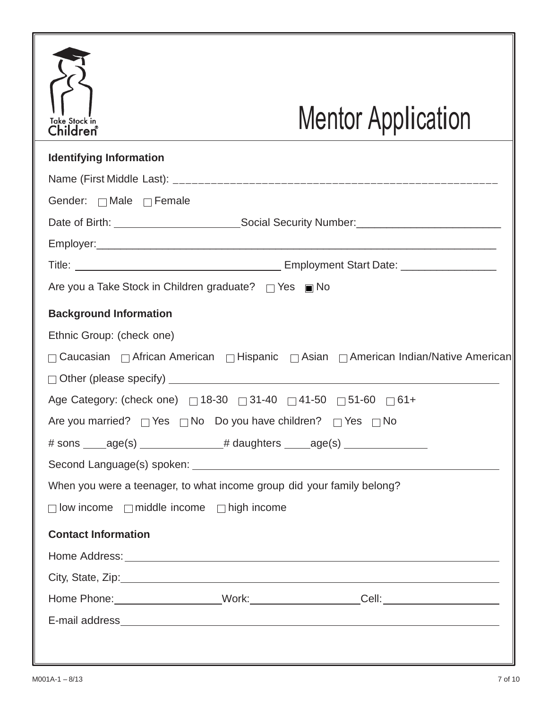| <b>Take Stock in</b><br>Children®                                               |                                                                                  | <b>Mentor Application</b>                                                                                                                                                                                                     |
|---------------------------------------------------------------------------------|----------------------------------------------------------------------------------|-------------------------------------------------------------------------------------------------------------------------------------------------------------------------------------------------------------------------------|
| <b>Identifying Information</b>                                                  |                                                                                  |                                                                                                                                                                                                                               |
|                                                                                 |                                                                                  |                                                                                                                                                                                                                               |
| Gender: $\Box$ Male $\Box$ Female                                               |                                                                                  |                                                                                                                                                                                                                               |
|                                                                                 |                                                                                  |                                                                                                                                                                                                                               |
|                                                                                 |                                                                                  |                                                                                                                                                                                                                               |
|                                                                                 |                                                                                  |                                                                                                                                                                                                                               |
|                                                                                 | Are you a Take Stock in Children graduate? $\Box$ Yes $\Box$ No                  |                                                                                                                                                                                                                               |
| <b>Background Information</b><br>Ethnic Group: (check one)                      |                                                                                  | □ Caucasian □ African American □ Hispanic □ Asian □ American Indian/Native American                                                                                                                                           |
|                                                                                 |                                                                                  |                                                                                                                                                                                                                               |
|                                                                                 | Age Category: (check one) [31-30 [31-40 ] 41-50 [31-60 ] 61+                     |                                                                                                                                                                                                                               |
|                                                                                 | Are you married? $\Box$ Yes $\Box$ No Do you have children? $\Box$ Yes $\Box$ No |                                                                                                                                                                                                                               |
| # sons _____age(s) _________________# daughters ______age(s) __________________ |                                                                                  |                                                                                                                                                                                                                               |
|                                                                                 |                                                                                  |                                                                                                                                                                                                                               |
|                                                                                 | When you were a teenager, to what income group did your family belong?           |                                                                                                                                                                                                                               |
|                                                                                 | $\Box$ low income $\Box$ middle income $\Box$ high income                        |                                                                                                                                                                                                                               |
| <b>Contact Information</b>                                                      |                                                                                  |                                                                                                                                                                                                                               |
|                                                                                 |                                                                                  |                                                                                                                                                                                                                               |
|                                                                                 |                                                                                  | City, State, Zip: 2008. City, State, Zip:                                                                                                                                                                                     |
|                                                                                 |                                                                                  | Home Phone: ______________________Work: _____________________Cell: _________________________________                                                                                                                          |
|                                                                                 |                                                                                  | E-mail address experience and the contract of the contract of the contract of the contract of the contract of the contract of the contract of the contract of the contract of the contract of the contract of the contract of |
|                                                                                 |                                                                                  |                                                                                                                                                                                                                               |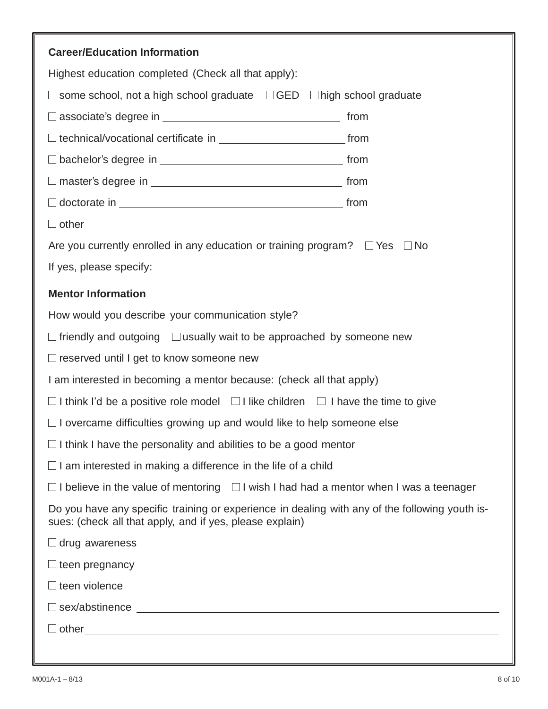| <b>Career/Education Information</b>                                                                                                                        |  |  |
|------------------------------------------------------------------------------------------------------------------------------------------------------------|--|--|
| Highest education completed (Check all that apply):                                                                                                        |  |  |
| $\Box$ some school, not a high school graduate $\Box$ GED $\Box$ high school graduate                                                                      |  |  |
|                                                                                                                                                            |  |  |
|                                                                                                                                                            |  |  |
| $\Box$ bachelor's degree in $\_\_$                                                                                                                         |  |  |
|                                                                                                                                                            |  |  |
|                                                                                                                                                            |  |  |
| $\Box$ other                                                                                                                                               |  |  |
| Are you currently enrolled in any education or training program? $\Box$ Yes $\Box$ No                                                                      |  |  |
|                                                                                                                                                            |  |  |
| <b>Mentor Information</b>                                                                                                                                  |  |  |
| How would you describe your communication style?                                                                                                           |  |  |
| $\Box$ friendly and outgoing $\Box$ usually wait to be approached by someone new                                                                           |  |  |
| □ reserved until I get to know someone new                                                                                                                 |  |  |
| I am interested in becoming a mentor because: (check all that apply)                                                                                       |  |  |
| $\Box$ I think I'd be a positive role model $\Box$ I like children $\Box$ I have the time to give                                                          |  |  |
| $\Box$ I overcame difficulties growing up and would like to help someone else                                                                              |  |  |
| $\Box$ I think I have the personality and abilities to be a good mentor                                                                                    |  |  |
| $\Box$ I am interested in making a difference in the life of a child                                                                                       |  |  |
| $\Box$ I believe in the value of mentoring $\Box$ I wish I had had a mentor when I was a teenager                                                          |  |  |
| Do you have any specific training or experience in dealing with any of the following youth is-<br>sues: (check all that apply, and if yes, please explain) |  |  |
| $\Box$ drug awareness                                                                                                                                      |  |  |
| $\Box$ teen pregnancy                                                                                                                                      |  |  |
| $\Box$ teen violence                                                                                                                                       |  |  |
| $\Box$ sex/abstinence $\Box$                                                                                                                               |  |  |
| $\Box$ other $\Box$                                                                                                                                        |  |  |
|                                                                                                                                                            |  |  |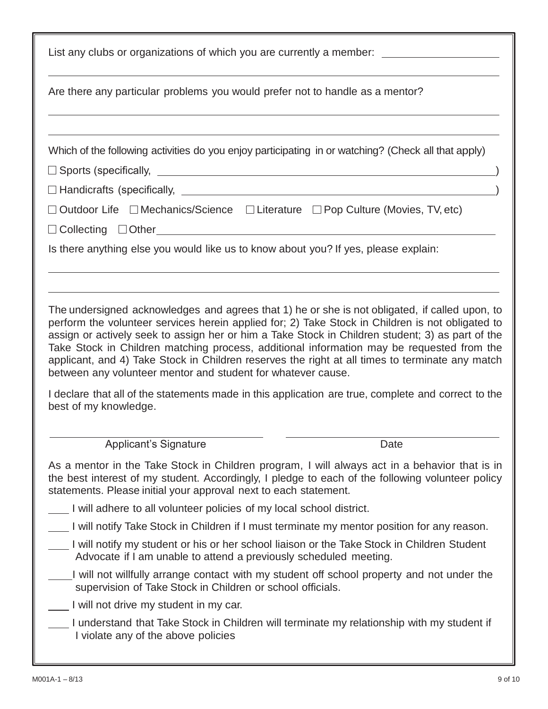| List any clubs or organizations of which you are currently a member: __________________                                                                                                                                                                                                                                                                                                                                                                                                                                                                                |  |  |
|------------------------------------------------------------------------------------------------------------------------------------------------------------------------------------------------------------------------------------------------------------------------------------------------------------------------------------------------------------------------------------------------------------------------------------------------------------------------------------------------------------------------------------------------------------------------|--|--|
| Are there any particular problems you would prefer not to handle as a mentor?                                                                                                                                                                                                                                                                                                                                                                                                                                                                                          |  |  |
|                                                                                                                                                                                                                                                                                                                                                                                                                                                                                                                                                                        |  |  |
| Which of the following activities do you enjoy participating in or watching? (Check all that apply)                                                                                                                                                                                                                                                                                                                                                                                                                                                                    |  |  |
| □ Sports (specifically, www.community.community.community.community.community.community.community.community.com                                                                                                                                                                                                                                                                                                                                                                                                                                                        |  |  |
|                                                                                                                                                                                                                                                                                                                                                                                                                                                                                                                                                                        |  |  |
| □ Outdoor Life □ Mechanics/Science □ Literature □ Pop Culture (Movies, TV, etc)<br>Ocollecting Other Collection Control Collecting Collecting Collecting Collecting Collecting Collecting Collection                                                                                                                                                                                                                                                                                                                                                                   |  |  |
| Is there anything else you would like us to know about you? If yes, please explain:                                                                                                                                                                                                                                                                                                                                                                                                                                                                                    |  |  |
|                                                                                                                                                                                                                                                                                                                                                                                                                                                                                                                                                                        |  |  |
| The undersigned acknowledges and agrees that 1) he or she is not obligated, if called upon, to<br>perform the volunteer services herein applied for; 2) Take Stock in Children is not obligated to<br>assign or actively seek to assign her or him a Take Stock in Children student; 3) as part of the<br>Take Stock in Children matching process, additional information may be requested from the<br>applicant, and 4) Take Stock in Children reserves the right at all times to terminate any match<br>between any volunteer mentor and student for whatever cause. |  |  |
| I declare that all of the statements made in this application are true, complete and correct to the<br>best of my knowledge.                                                                                                                                                                                                                                                                                                                                                                                                                                           |  |  |
| <b>Applicant's Signature</b><br>Date                                                                                                                                                                                                                                                                                                                                                                                                                                                                                                                                   |  |  |
| As a mentor in the Take Stock in Children program, I will always act in a behavior that is in<br>the best interest of my student. Accordingly, I pledge to each of the following volunteer policy<br>statements. Please initial your approval next to each statement.                                                                                                                                                                                                                                                                                                  |  |  |
| I will adhere to all volunteer policies of my local school district.                                                                                                                                                                                                                                                                                                                                                                                                                                                                                                   |  |  |
| I will notify Take Stock in Children if I must terminate my mentor position for any reason.                                                                                                                                                                                                                                                                                                                                                                                                                                                                            |  |  |
| I will notify my student or his or her school liaison or the Take Stock in Children Student _<br>Advocate if I am unable to attend a previously scheduled meeting.                                                                                                                                                                                                                                                                                                                                                                                                     |  |  |
| I will not willfully arrange contact with my student off school property and not under the<br>supervision of Take Stock in Children or school officials.                                                                                                                                                                                                                                                                                                                                                                                                               |  |  |
| I will not drive my student in my car.                                                                                                                                                                                                                                                                                                                                                                                                                                                                                                                                 |  |  |
| I understand that Take Stock in Children will terminate my relationship with my student if<br>I violate any of the above policies                                                                                                                                                                                                                                                                                                                                                                                                                                      |  |  |